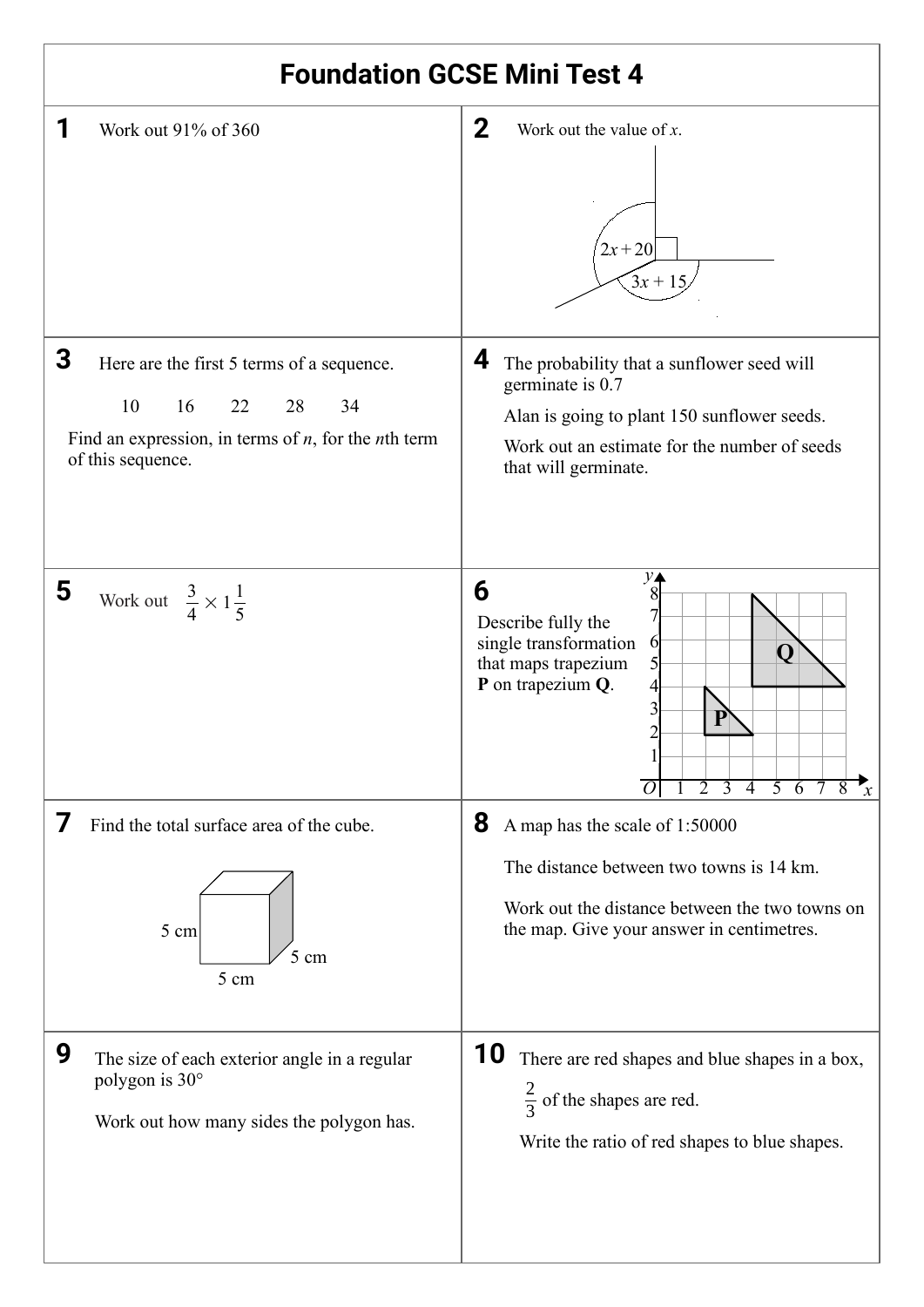| <b>Foundation GCSE Mini Test 4</b>                                                                                                                                  |                                                                                                                                                                                                                   |  |  |  |
|---------------------------------------------------------------------------------------------------------------------------------------------------------------------|-------------------------------------------------------------------------------------------------------------------------------------------------------------------------------------------------------------------|--|--|--|
| 1<br>Work out 91% of 360                                                                                                                                            | $\mathbf 2$<br>Work out the value of $x$ .<br>$2x + 20$<br>$3x + 15$                                                                                                                                              |  |  |  |
| 3<br>Here are the first 5 terms of a sequence.<br>10<br>16<br>22<br>28<br>34<br>Find an expression, in terms of $n$ , for the <i>n</i> th term<br>of this sequence. | 4<br>The probability that a sunflower seed will<br>germinate is 0.7<br>Alan is going to plant 150 sunflower seeds.<br>Work out an estimate for the number of seeds<br>that will germinate.                        |  |  |  |
| 5<br>Work out $\frac{3}{4} \times 1\frac{1}{5}$                                                                                                                     | 6<br>Describe fully the<br>single transformation<br>6<br>Ő<br>that maps trapezium<br>P on trapezium Q.<br>P<br>$\overline{3}$<br>$\overline{4}$<br>$\mathcal{P}$<br>$5\overline{6}$<br>$\boldsymbol{\mathcal{X}}$ |  |  |  |
| Find the total surface area of the cube.<br>5 cm<br>5 cm<br>5 cm                                                                                                    | 8<br>A map has the scale of 1:50000<br>The distance between two towns is 14 km.<br>Work out the distance between the two towns on<br>the map. Give your answer in centimetres.                                    |  |  |  |
| 9<br>The size of each exterior angle in a regular<br>polygon is 30°<br>Work out how many sides the polygon has.                                                     | 10<br>There are red shapes and blue shapes in a box,<br>$\frac{2}{3}$ of the shapes are red.<br>Write the ratio of red shapes to blue shapes.                                                                     |  |  |  |